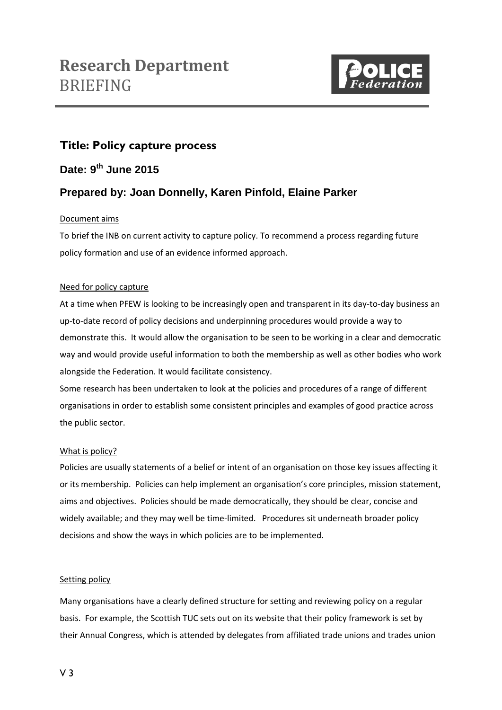

# **Title: Policy capture process**

**Date: 9 th June 2015**

# **Prepared by: Joan Donnelly, Karen Pinfold, Elaine Parker**

# Document aims

To brief the INB on current activity to capture policy. To recommend a process regarding future policy formation and use of an evidence informed approach.

# Need for policy capture

At a time when PFEW is looking to be increasingly open and transparent in its day-to-day business an up-to-date record of policy decisions and underpinning procedures would provide a way to demonstrate this. It would allow the organisation to be seen to be working in a clear and democratic way and would provide useful information to both the membership as well as other bodies who work alongside the Federation. It would facilitate consistency.

Some research has been undertaken to look at the policies and procedures of a range of different organisations in order to establish some consistent principles and examples of good practice across the public sector.

# What is policy?

Policies are usually statements of a belief or intent of an organisation on those key issues affecting it or its membership. Policies can help implement an organisation's core principles, mission statement, aims and objectives. Policies should be made democratically, they should be clear, concise and widely available; and they may well be time-limited. Procedures sit underneath broader policy decisions and show the ways in which policies are to be implemented.

# Setting policy

Many organisations have a clearly defined structure for setting and reviewing policy on a regular basis. For example, the Scottish TUC sets out on its website that their policy framework is set by their Annual Congress, which is attended by delegates from affiliated trade unions and trades union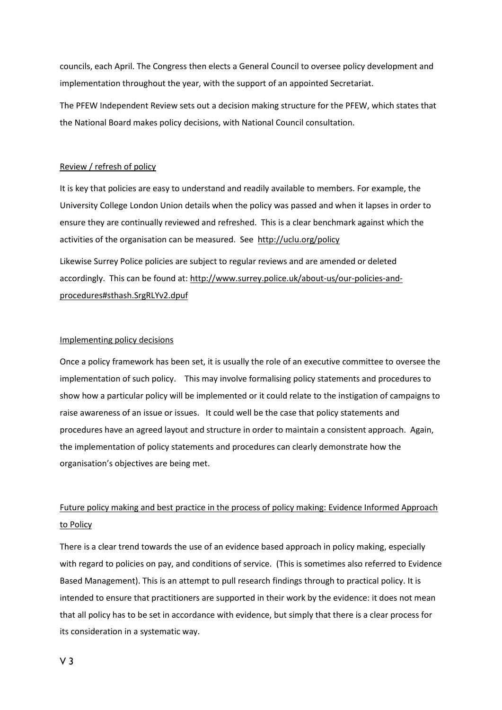councils, each April. The Congress then elects a General Council to oversee policy development and implementation throughout the year, with the support of an appointed Secretariat.

The PFEW Independent Review sets out a decision making structure for the PFEW, which states that the National Board makes policy decisions, with National Council consultation.

#### Review / refresh of policy

It is key that policies are easy to understand and readily available to members. For example, the University College London Union details when the policy was passed and when it lapses in order to ensure they are continually reviewed and refreshed. This is a clear benchmark against which the activities of the organisation can be measured. See<http://uclu.org/policy> Likewise Surrey Police policies are subject to regular reviews and are amended or deleted accordingly. This can be found at: [http://www.surrey.police.uk/about-us/our-policies-and](http://www.surrey.police.uk/about-us/our-policies-and-procedures#sthash.SrgRLYv2.dpuf)[procedures#sthash.SrgRLYv2.dpuf](http://www.surrey.police.uk/about-us/our-policies-and-procedures#sthash.SrgRLYv2.dpuf)

#### Implementing policy decisions

Once a policy framework has been set, it is usually the role of an executive committee to oversee the implementation of such policy. This may involve formalising policy statements and procedures to show how a particular policy will be implemented or it could relate to the instigation of campaigns to raise awareness of an issue or issues. It could well be the case that policy statements and procedures have an agreed layout and structure in order to maintain a consistent approach. Again, the implementation of policy statements and procedures can clearly demonstrate how the organisation's objectives are being met.

# Future policy making and best practice in the process of policy making: Evidence Informed Approach to Policy

There is a clear trend towards the use of an evidence based approach in policy making, especially with regard to policies on pay, and conditions of service. (This is sometimes also referred to Evidence Based Management). This is an attempt to pull research findings through to practical policy. It is intended to ensure that practitioners are supported in their work by the evidence: it does not mean that all policy has to be set in accordance with evidence, but simply that there is a clear process for its consideration in a systematic way.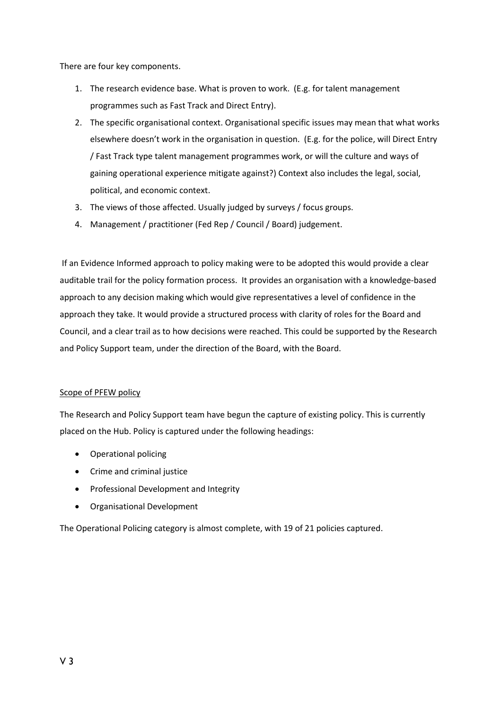There are four key components.

- 1. The research evidence base. What is proven to work. (E.g. for talent management programmes such as Fast Track and Direct Entry).
- 2. The specific organisational context. Organisational specific issues may mean that what works elsewhere doesn't work in the organisation in question. (E.g. for the police, will Direct Entry / Fast Track type talent management programmes work, or will the culture and ways of gaining operational experience mitigate against?) Context also includes the legal, social, political, and economic context.
- 3. The views of those affected. Usually judged by surveys / focus groups.
- 4. Management / practitioner (Fed Rep / Council / Board) judgement.

If an Evidence Informed approach to policy making were to be adopted this would provide a clear auditable trail for the policy formation process. It provides an organisation with a knowledge-based approach to any decision making which would give representatives a level of confidence in the approach they take. It would provide a structured process with clarity of roles for the Board and Council, and a clear trail as to how decisions were reached. This could be supported by the Research and Policy Support team, under the direction of the Board, with the Board.

# Scope of PFEW policy

The Research and Policy Support team have begun the capture of existing policy. This is currently placed on the Hub. Policy is captured under the following headings:

- Operational policing
- Crime and criminal justice
- Professional Development and Integrity
- Organisational Development

The Operational Policing category is almost complete, with 19 of 21 policies captured.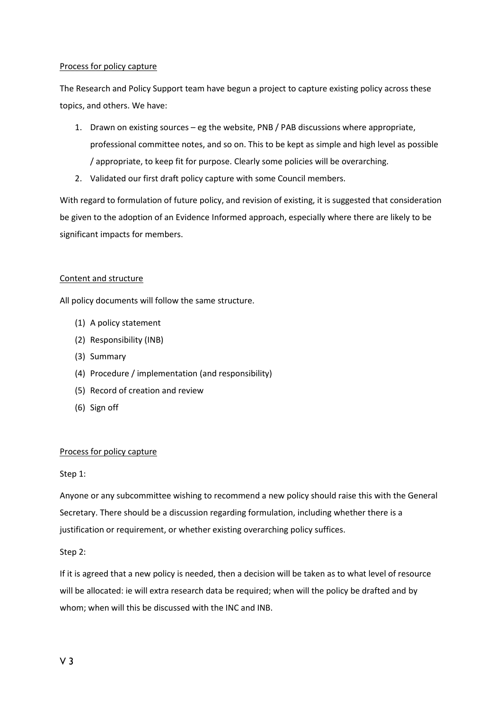#### Process for policy capture

The Research and Policy Support team have begun a project to capture existing policy across these topics, and others. We have:

- 1. Drawn on existing sources eg the website, PNB / PAB discussions where appropriate, professional committee notes, and so on. This to be kept as simple and high level as possible / appropriate, to keep fit for purpose. Clearly some policies will be overarching.
- 2. Validated our first draft policy capture with some Council members.

With regard to formulation of future policy, and revision of existing, it is suggested that consideration be given to the adoption of an Evidence Informed approach, especially where there are likely to be significant impacts for members.

# Content and structure

All policy documents will follow the same structure.

- (1) A policy statement
- (2) Responsibility (INB)
- (3) Summary
- (4) Procedure / implementation (and responsibility)
- (5) Record of creation and review
- (6) Sign off

# Process for policy capture

# Step 1:

Anyone or any subcommittee wishing to recommend a new policy should raise this with the General Secretary. There should be a discussion regarding formulation, including whether there is a justification or requirement, or whether existing overarching policy suffices.

Step 2:

If it is agreed that a new policy is needed, then a decision will be taken as to what level of resource will be allocated: ie will extra research data be required; when will the policy be drafted and by whom; when will this be discussed with the INC and INB.